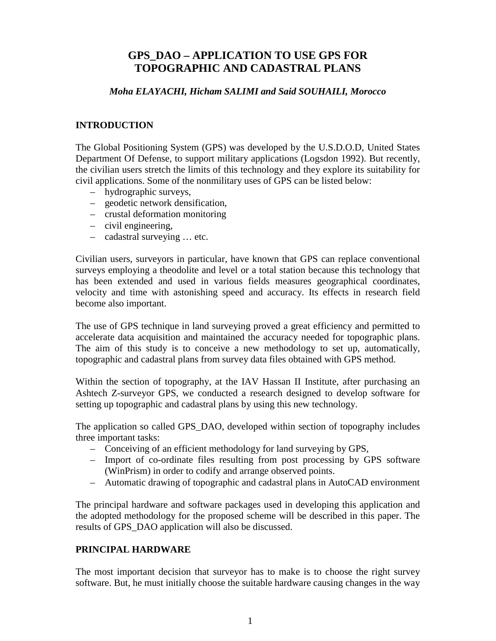# **GPS\_DAO – APPLICATION TO USE GPS FOR TOPOGRAPHIC AND CADASTRAL PLANS**

### *Moha ELAYACHI, Hicham SALIMI and Said SOUHAILI, Morocco*

# **INTRODUCTION**

The Global Positioning System (GPS) was developed by the U.S.D.O.D, United States Department Of Defense, to support military applications (Logsdon 1992). But recently, the civilian users stretch the limits of this technology and they explore its suitability for civil applications. Some of the nonmilitary uses of GPS can be listed below:

- hydrographic surveys,
- geodetic network densification,
- crustal deformation monitoring
- civil engineering,
- cadastral surveying … etc.

Civilian users, surveyors in particular, have known that GPS can replace conventional surveys employing a theodolite and level or a total station because this technology that has been extended and used in various fields measures geographical coordinates, velocity and time with astonishing speed and accuracy. Its effects in research field become also important.

The use of GPS technique in land surveying proved a great efficiency and permitted to accelerate data acquisition and maintained the accuracy needed for topographic plans. The aim of this study is to conceive a new methodology to set up, automatically, topographic and cadastral plans from survey data files obtained with GPS method.

Within the section of topography, at the IAV Hassan II Institute, after purchasing an Ashtech Z-surveyor GPS, we conducted a research designed to develop software for setting up topographic and cadastral plans by using this new technology.

The application so called GPS\_DAO, developed within section of topography includes three important tasks:

- Conceiving of an efficient methodology for land surveying by GPS,
- Import of co-ordinate files resulting from post processing by GPS software (WinPrism) in order to codify and arrange observed points.
- Automatic drawing of topographic and cadastral plans in AutoCAD environment

The principal hardware and software packages used in developing this application and the adopted methodology for the proposed scheme will be described in this paper. The results of GPS\_DAO application will also be discussed.

# **PRINCIPAL HARDWARE**

The most important decision that surveyor has to make is to choose the right survey software. But, he must initially choose the suitable hardware causing changes in the way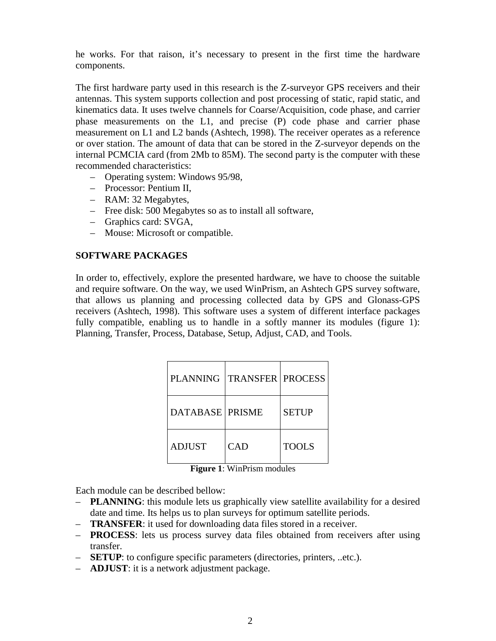he works. For that raison, it's necessary to present in the first time the hardware components.

The first hardware party used in this research is the Z-surveyor GPS receivers and their antennas. This system supports collection and post processing of static, rapid static, and kinematics data. It uses twelve channels for Coarse/Acquisition, code phase, and carrier phase measurements on the L1, and precise (P) code phase and carrier phase measurement on L1 and L2 bands (Ashtech, 1998). The receiver operates as a reference or over station. The amount of data that can be stored in the Z-surveyor depends on the internal PCMCIA card (from 2Mb to 85M). The second party is the computer with these recommended characteristics:

- Operating system: Windows 95/98,
- Processor: Pentium II,
- RAM: 32 Megabytes,
- Free disk: 500 Megabytes so as to install all software,
- Graphics card: SVGA,
- Mouse: Microsoft or compatible.

### **SOFTWARE PACKAGES**

In order to, effectively, explore the presented hardware, we have to choose the suitable and require software. On the way, we used WinPrism, an Ashtech GPS survey software, that allows us planning and processing collected data by GPS and Glonass-GPS receivers (Ashtech, 1998). This software uses a system of different interface packages fully compatible, enabling us to handle in a softly manner its modules (figure 1): Planning, Transfer, Process, Database, Setup, Adjust, CAD, and Tools.

| <b>PLANNING</b>        | <b>TRANSFER   PROCESS</b> |              |
|------------------------|---------------------------|--------------|
| <b>DATABASE PRISME</b> |                           | <b>SETUP</b> |
| ADJUST                 | <b>CAD</b>                | <b>TOOLS</b> |

**Figure 1**: WinPrism modules

Each module can be described bellow:

- **PLANNING**: this module lets us graphically view satellite availability for a desired date and time. Its helps us to plan surveys for optimum satellite periods.
- **TRANSFER**: it used for downloading data files stored in a receiver.
- **PROCESS**: lets us process survey data files obtained from receivers after using transfer.
- **SETUP**: to configure specific parameters (directories, printers, ..etc.).
- **ADJUST**: it is a network adjustment package.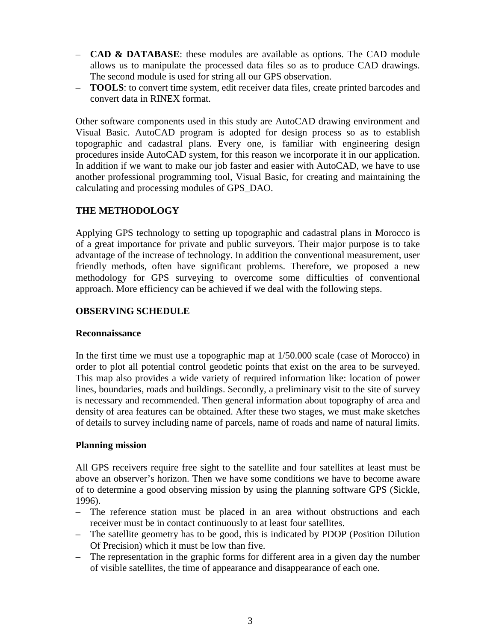- **CAD & DATABASE**: these modules are available as options. The CAD module allows us to manipulate the processed data files so as to produce CAD drawings. The second module is used for string all our GPS observation.
- **TOOLS**: to convert time system, edit receiver data files, create printed barcodes and convert data in RINEX format.

Other software components used in this study are AutoCAD drawing environment and Visual Basic. AutoCAD program is adopted for design process so as to establish topographic and cadastral plans. Every one, is familiar with engineering design procedures inside AutoCAD system, for this reason we incorporate it in our application. In addition if we want to make our job faster and easier with AutoCAD, we have to use another professional programming tool, Visual Basic, for creating and maintaining the calculating and processing modules of GPS\_DAO.

# **THE METHODOLOGY**

Applying GPS technology to setting up topographic and cadastral plans in Morocco is of a great importance for private and public surveyors. Their major purpose is to take advantage of the increase of technology. In addition the conventional measurement, user friendly methods, often have significant problems. Therefore, we proposed a new methodology for GPS surveying to overcome some difficulties of conventional approach. More efficiency can be achieved if we deal with the following steps.

# **OBSERVING SCHEDULE**

# **Reconnaissance**

In the first time we must use a topographic map at 1/50.000 scale (case of Morocco) in order to plot all potential control geodetic points that exist on the area to be surveyed. This map also provides a wide variety of required information like: location of power lines, boundaries, roads and buildings. Secondly, a preliminary visit to the site of survey is necessary and recommended. Then general information about topography of area and density of area features can be obtained. After these two stages, we must make sketches of details to survey including name of parcels, name of roads and name of natural limits.

# **Planning mission**

All GPS receivers require free sight to the satellite and four satellites at least must be above an observer's horizon. Then we have some conditions we have to become aware of to determine a good observing mission by using the planning software GPS (Sickle, 1996).

- The reference station must be placed in an area without obstructions and each receiver must be in contact continuously to at least four satellites.
- The satellite geometry has to be good, this is indicated by PDOP (Position Dilution Of Precision) which it must be low than five.
- The representation in the graphic forms for different area in a given day the number of visible satellites, the time of appearance and disappearance of each one.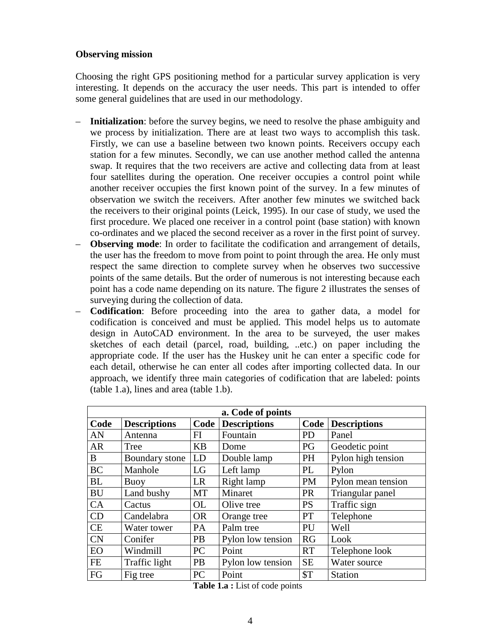### **Observing mission**

Choosing the right GPS positioning method for a particular survey application is very interesting. It depends on the accuracy the user needs. This part is intended to offer some general guidelines that are used in our methodology.

- **Initialization**: before the survey begins, we need to resolve the phase ambiguity and we process by initialization. There are at least two ways to accomplish this task. Firstly, we can use a baseline between two known points. Receivers occupy each station for a few minutes. Secondly, we can use another method called the antenna swap. It requires that the two receivers are active and collecting data from at least four satellites during the operation. One receiver occupies a control point while another receiver occupies the first known point of the survey. In a few minutes of observation we switch the receivers. After another few minutes we switched back the receivers to their original points (Leick, 1995). In our case of study, we used the first procedure. We placed one receiver in a control point (base station) with known co-ordinates and we placed the second receiver as a rover in the first point of survey.
- **Observing mode**: In order to facilitate the codification and arrangement of details, the user has the freedom to move from point to point through the area. He only must respect the same direction to complete survey when he observes two successive points of the same details. But the order of numerous is not interesting because each point has a code name depending on its nature. The figure 2 illustrates the senses of surveying during the collection of data.
- **Codification**: Before proceeding into the area to gather data, a model for codification is conceived and must be applied. This model helps us to automate design in AutoCAD environment. In the area to be surveyed, the user makes sketches of each detail (parcel, road, building, ..etc.) on paper including the appropriate code. If the user has the Huskey unit he can enter a specific code for each detail, otherwise he can enter all codes after importing collected data. In our approach, we identify three main categories of codification that are labeled: points (table 1.a), lines and area (table 1.b).

| a. Code of points |                     |           |                     |           |                          |  |  |
|-------------------|---------------------|-----------|---------------------|-----------|--------------------------|--|--|
| Code              | <b>Descriptions</b> | Code      | <b>Descriptions</b> |           | <b>Code</b> Descriptions |  |  |
| AN                | Antenna             | FI        | Fountain            | <b>PD</b> | Panel                    |  |  |
| <b>AR</b>         | Tree                | <b>KB</b> | Dome                | PG        | Geodetic point           |  |  |
| B                 | Boundary stone      | LD        | Double lamp         | <b>PH</b> | Pylon high tension       |  |  |
| <b>BC</b>         | Manhole             | LG        | Left lamp           | PL        | Pylon                    |  |  |
| <b>BL</b>         | Buoy                | <b>LR</b> | Right lamp          | <b>PM</b> | Pylon mean tension       |  |  |
| <b>BU</b>         | Land bushy          | MT        | Minaret             | <b>PR</b> | Triangular panel         |  |  |
| CA                | Cactus              | <b>OL</b> | Olive tree          | <b>PS</b> | Traffic sign             |  |  |
| CD                | Candelabra          | <b>OR</b> | Orange tree         | <b>PT</b> | Telephone                |  |  |
| <b>CE</b>         | Water tower         | <b>PA</b> | Palm tree           | PU        | Well                     |  |  |
| <b>CN</b>         | Conifer             | <b>PB</b> | Pylon low tension   | RG        | Look                     |  |  |
| EO                | Windmill            | PC        | Point               | <b>RT</b> | Telephone look           |  |  |
| <b>FE</b>         | Traffic light       | PB        | Pylon low tension   | <b>SE</b> | Water source             |  |  |
| FG                | Fig tree            | PC        | Point               | \$T       | <b>Station</b>           |  |  |

**Table 1.a :** List of code points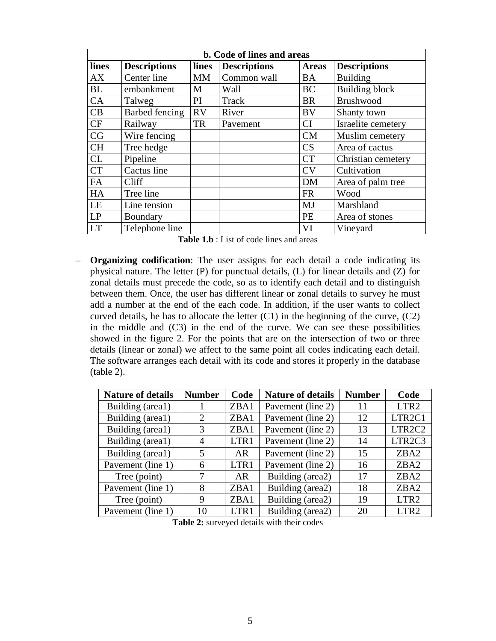| b. Code of lines and areas |                     |           |                     |              |                       |  |  |
|----------------------------|---------------------|-----------|---------------------|--------------|-----------------------|--|--|
| lines                      | <b>Descriptions</b> | lines     | <b>Descriptions</b> | <b>Areas</b> | <b>Descriptions</b>   |  |  |
| AX                         | Center line         | MM        | Common wall         | BA           | <b>Building</b>       |  |  |
| <b>BL</b>                  | embankment          | M         | Wall                | <b>BC</b>    | <b>Building block</b> |  |  |
| CA                         | Talweg              | PI        | Track               | <b>BR</b>    | <b>Brushwood</b>      |  |  |
| CB                         | Barbed fencing      | <b>RV</b> | River               | <b>BV</b>    | Shanty town           |  |  |
| CF                         | Railway             | <b>TR</b> | Pavement            | CI           | Israelite cemetery    |  |  |
| CG                         | Wire fencing        |           |                     | <b>CM</b>    | Muslim cemetery       |  |  |
| <b>CH</b>                  | Tree hedge          |           |                     | CS           | Area of cactus        |  |  |
| CL                         | Pipeline            |           |                     | <b>CT</b>    | Christian cemetery    |  |  |
| <b>CT</b>                  | Cactus line         |           |                     | CV           | Cultivation           |  |  |
| FA                         | Cliff               |           |                     | <b>DM</b>    | Area of palm tree     |  |  |
| HA                         | Tree line           |           |                     | <b>FR</b>    | Wood                  |  |  |
| LE                         | Line tension        |           |                     | MJ           | Marshland             |  |  |
| LP                         | Boundary            |           |                     | PE           | Area of stones        |  |  |
| <b>LT</b>                  | Telephone line      |           |                     | VI           | Vineyard              |  |  |

|--|

– **Organizing codification**: The user assigns for each detail a code indicating its physical nature. The letter (P) for punctual details, (L) for linear details and (Z) for zonal details must precede the code, so as to identify each detail and to distinguish between them. Once, the user has different linear or zonal details to survey he must add a number at the end of the each code. In addition, if the user wants to collect curved details, he has to allocate the letter (C1) in the beginning of the curve, (C2) in the middle and (C3) in the end of the curve. We can see these possibilities showed in the figure 2. For the points that are on the intersection of two or three details (linear or zonal) we affect to the same point all codes indicating each detail. The software arranges each detail with its code and stores it properly in the database (table 2).

| <b>Nature of details</b> | <b>Number</b> | Code | <b>Nature of details</b> | <b>Number</b> | Code               |
|--------------------------|---------------|------|--------------------------|---------------|--------------------|
| Building (area1)         |               | ZBA1 | Pavement (line 2)        | 11            | LTR <sub>2</sub>   |
| Building (area1)         | 2             | ZBA1 | Pavement (line 2)        | 12            | LTR <sub>2C1</sub> |
| Building (area1)         | 3             | ZBA1 | Pavement (line 2)        | 13            | LTR2C2             |
| Building (area1)         | 4             | LTR1 | Pavement (line 2)        | 14            | LTR2C3             |
| Building (area1)         | 5             | AR   | Pavement (line 2)        | 15            | ZBA <sub>2</sub>   |
| Pavement (line 1)        | 6             | LTR1 | Pavement (line 2)        | 16            | ZBA <sub>2</sub>   |
| Tree (point)             |               | AR   | Building (area2)         | 17            | ZBA <sub>2</sub>   |
| Pavement (line 1)        | 8             | ZBA1 | Building (area2)         | 18            | ZBA <sub>2</sub>   |
| Tree (point)             | 9             | ZBA1 | Building (area2)         | 19            | LTR <sub>2</sub>   |
| Pavement (line 1)        | 10            | LTR1 | Building (area2)         | 20            | LTR <sub>2</sub>   |

**Table 2:** surveyed details with their codes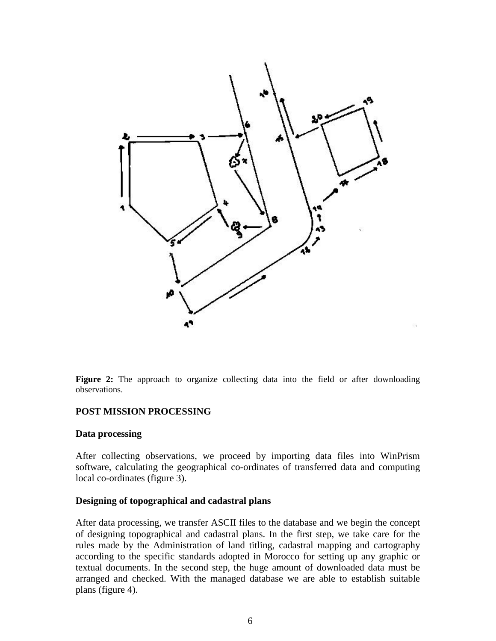

Figure 2: The approach to organize collecting data into the field or after downloading observations.

### **POST MISSION PROCESSING**

#### **Data processing**

After collecting observations, we proceed by importing data files into WinPrism software, calculating the geographical co-ordinates of transferred data and computing local co-ordinates (figure 3).

#### **Designing of topographical and cadastral plans**

After data processing, we transfer ASCII files to the database and we begin the concept of designing topographical and cadastral plans. In the first step, we take care for the rules made by the Administration of land titling, cadastral mapping and cartography according to the specific standards adopted in Morocco for setting up any graphic or textual documents. In the second step, the huge amount of downloaded data must be arranged and checked. With the managed database we are able to establish suitable plans (figure 4).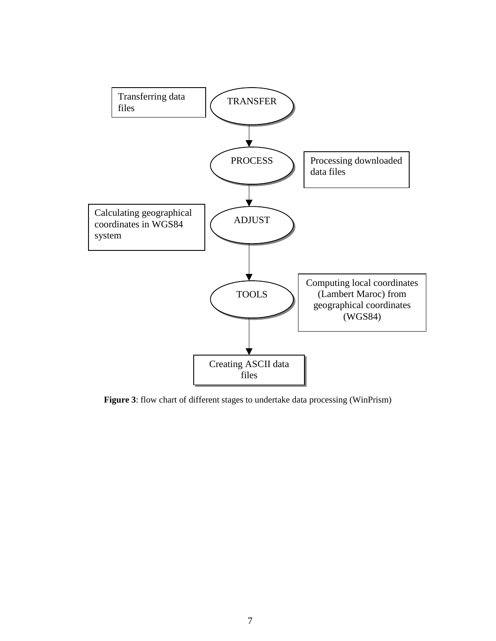

**Figure 3**: flow chart of different stages to undertake data processing (WinPrism)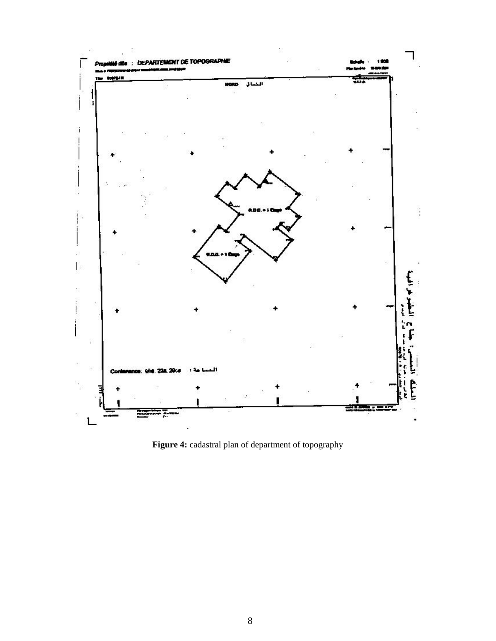

**Figure 4:** cadastral plan of department of topography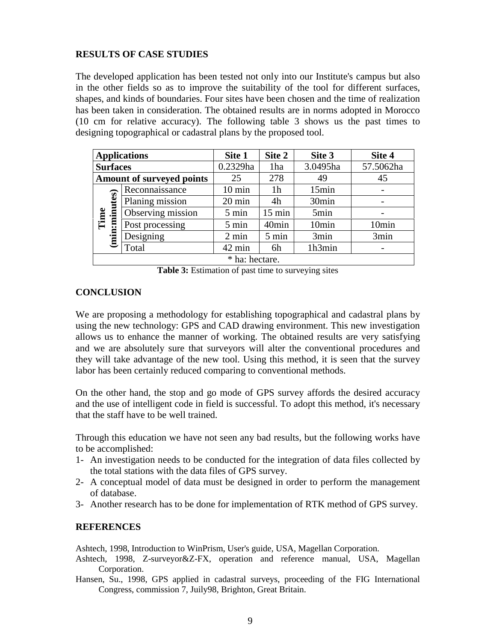### **RESULTS OF CASE STUDIES**

The developed application has been tested not only into our Institute's campus but also in the other fields so as to improve the suitability of the tool for different surfaces, shapes, and kinds of boundaries. Four sites have been chosen and the time of realization has been taken in consideration. The obtained results are in norms adopted in Morocco (10 cm for relative accuracy). The following table 3 shows us the past times to designing topographical or cadastral plans by the proposed tool.

|                       | <b>Applications</b>              | Site 1           | Site 2            | Site 3            | Site 4    |
|-----------------------|----------------------------------|------------------|-------------------|-------------------|-----------|
|                       | <b>Surfaces</b>                  |                  | 1ha               | 3.0495ha          | 57.5062ha |
|                       | <b>Amount of surveyed points</b> | 25               | 278               | 49                | 45        |
| (min:minutes)<br>Time | Reconnaissance                   | $10 \text{ min}$ | 1h                | 15min             |           |
|                       | Planing mission                  | 20 min           | 4h                | 30 <sub>min</sub> |           |
|                       | Observing mission                | 5 min            | $15 \text{ min}$  | 5min              |           |
|                       | Post processing                  | 5 min            | 40 <sub>min</sub> | 10 <sub>min</sub> | 10min     |
|                       | Designing                        | $2 \text{ min}$  | 5 min             | 3min              | 3min      |
|                       | Total                            | 42 min           | 6h                | 1h3min            |           |
| * ha: hectare.        |                                  |                  |                   |                   |           |

**Table 3:** Estimation of past time to surveying sites

# **CONCLUSION**

We are proposing a methodology for establishing topographical and cadastral plans by using the new technology: GPS and CAD drawing environment. This new investigation allows us to enhance the manner of working. The obtained results are very satisfying and we are absolutely sure that surveyors will alter the conventional procedures and they will take advantage of the new tool. Using this method, it is seen that the survey labor has been certainly reduced comparing to conventional methods.

On the other hand, the stop and go mode of GPS survey affords the desired accuracy and the use of intelligent code in field is successful. To adopt this method, it's necessary that the staff have to be well trained.

Through this education we have not seen any bad results, but the following works have to be accomplished:

- 1- An investigation needs to be conducted for the integration of data files collected by the total stations with the data files of GPS survey.
- 2- A conceptual model of data must be designed in order to perform the management of database.
- 3- Another research has to be done for implementation of RTK method of GPS survey.

### **REFERENCES**

Ashtech, 1998, Introduction to WinPrism, User's guide, USA, Magellan Corporation.

- Ashtech, 1998, Z-surveyor&Z-FX, operation and reference manual, USA, Magellan Corporation.
- Hansen, Su., 1998, GPS applied in cadastral surveys, proceeding of the FIG International Congress, commission 7, Juily98, Brighton, Great Britain.